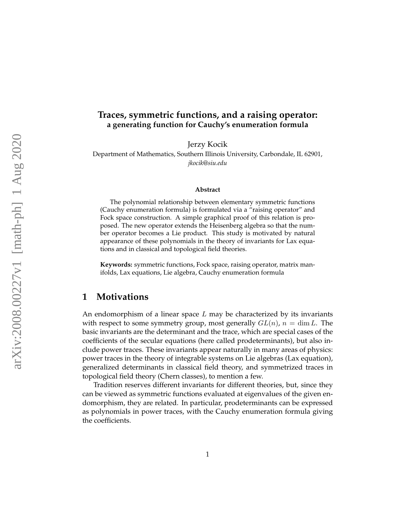#### **Traces, symmetric functions, and a raising operator: a generating function for Cauchy's enumeration formula**

Jerzy Kocik Department of Mathematics, Southern Illinois University, Carbondale, IL 62901, *jkocik@siu.edu*

#### **Abstract**

The polynomial relationship between elementary symmetric functions (Cauchy enumeration formula) is formulated via a "raising operator" and Fock space construction. A simple graphical proof of this relation is proposed. The new operator extends the Heisenberg algebra so that the number operator becomes a Lie product. This study is motivated by natural appearance of these polynomials in the theory of invariants for Lax equations and in classical and topological field theories.

**Keywords:** symmetric functions, Fock space, raising operator, matrix manifolds, Lax equations, Lie algebra, Cauchy enumeration formula

#### **1 Motivations**

An endomorphism of a linear space  $L$  may be characterized by its invariants with respect to some symmetry group, most generally  $GL(n)$ ,  $n = \dim L$ . The basic invariants are the determinant and the trace, which are special cases of the coefficients of the secular equations (here called prodeterminants), but also include power traces. These invariants appear naturally in many areas of physics: power traces in the theory of integrable systems on Lie algebras (Lax equation), generalized determinants in classical field theory, and symmetrized traces in topological field theory (Chern classes), to mention a few.

Tradition reserves different invariants for different theories, but, since they can be viewed as symmetric functions evaluated at eigenvalues of the given endomorphism, they are related. In particular, prodeterminants can be expressed as polynomials in power traces, with the Cauchy enumeration formula giving the coefficients.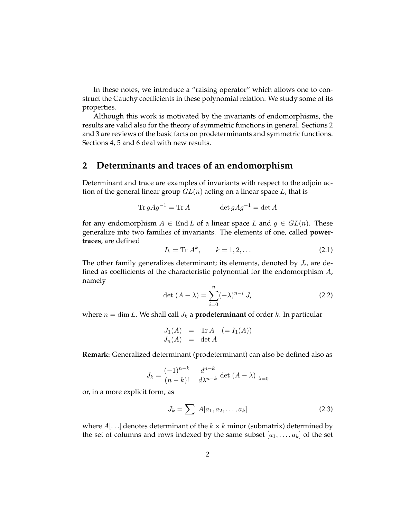In these notes, we introduce a "raising operator" which allows one to construct the Cauchy coefficients in these polynomial relation. We study some of its properties.

Although this work is motivated by the invariants of endomorphisms, the results are valid also for the theory of symmetric functions in general. Sections 2 and 3 are reviews of the basic facts on prodeterminants and symmetric functions. Sections 4, 5 and 6 deal with new results.

## **2 Determinants and traces of an endomorphism**

Determinant and trace are examples of invariants with respect to the adjoin action of the general linear group  $GL(n)$  acting on a linear space L, that is

$$
\operatorname{Tr} g A g^{-1} = \operatorname{Tr} A \qquad \qquad \det g A g^{-1} = \det A
$$

for any endomorphism  $A \in$  End L of a linear space L and  $g \in GL(n)$ . These generalize into two families of invariants. The elements of one, called **powertraces**, are defined

$$
I_k = \text{Tr } A^k, \qquad k = 1, 2, \dots \tag{2.1}
$$

The other family generalizes determinant; its elements, denoted by  $J_i$ , are defined as coefficients of the characteristic polynomial for the endomorphism A, namely

<span id="page-1-1"></span>
$$
\det (A - \lambda) = \sum_{i=0}^{n} (-\lambda)^{n-i} J_i
$$
 (2.2)

where  $n = \dim L$ . We shall call  $J_k$  a **prodeterminant** of order k. In particular

$$
J_1(A) = \text{Tr } A \quad (= I_1(A))
$$
  

$$
J_n(A) = \det A
$$

**Remark:** Generalized determinant (prodeterminant) can also be defined also as

$$
J_k = \frac{(-1)^{n-k}}{(n-k)!} \frac{d^{n-k}}{d\lambda^{n-k}} \det (A - \lambda)|_{\lambda=0}
$$

or, in a more explicit form, as

<span id="page-1-0"></span>
$$
J_k = \sum A[a_1, a_2, \dots, a_k]
$$
 (2.3)

where  $A$ [...] denotes determinant of the  $k \times k$  minor (submatrix) determined by the set of columns and rows indexed by the same subset  $[a_1, \ldots, a_k]$  of the set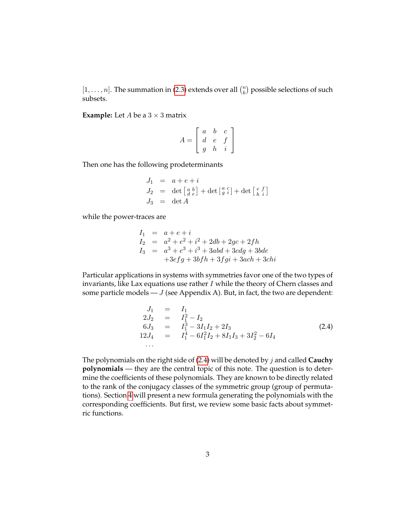$[1, \ldots, n]$ . The summation in [\(2.3\)](#page-1-0) extends over all  $\binom{n}{k}$  $\binom{n}{k}$  possible selections of such subsets.

**Example:** Let  $A$  be a  $3 \times 3$  matrix

$$
A = \left[ \begin{array}{ccc} a & b & c \\ d & e & f \\ g & h & i \end{array} \right]
$$

Then one has the following prodeterminants

$$
J_1 = a + e + i
$$
  
\n
$$
J_2 = \det \begin{bmatrix} a & b \\ d & e \end{bmatrix} + \det \begin{bmatrix} a & c \\ g & i \end{bmatrix} + \det \begin{bmatrix} e & f \\ h & i \end{bmatrix}
$$
  
\n
$$
J_3 = \det A
$$

while the power-traces are

$$
I_1 = a + e + i
$$
  
\n
$$
I_2 = a^2 + e^2 + i^2 + 2db + 2gc + 2fh
$$
  
\n
$$
I_3 = a^3 + e^3 + i^3 + 3abd + 3cdg + 3bde
$$
  
\n
$$
+3efg + 3bfh + 3fgi + 3ach + 3chi
$$

Particular applications in systems with symmetries favor one of the two types of invariants, like Lax equations use rather  $I$  while the theory of Chern classes and some particle models  $-J$  (see Appendix A). But, in fact, the two are dependent:

<span id="page-2-0"></span>
$$
J_1 = I_1
$$
  
\n
$$
2J_2 = I_1^2 - I_2
$$
  
\n
$$
6J_3 = I_1^3 - 3I_1I_2 + 2I_3
$$
  
\n
$$
12J_4 = I_1^4 - 6I_1^2I_2 + 8I_1I_3 + 3I_2^2 - 6I_4
$$
  
\n... (2.4)

The polynomials on the right side of [\(2.4\)](#page-2-0) will be denoted by j and called **Cauchy polynomials** — they are the central topic of this note. The question is to determine the coefficients of these polynomials. They are known to be directly related to the rank of the conjugacy classes of the symmetric group (group of permutations). Section [4](#page-6-0) will present a new formula generating the polynomials with the corresponding coefficients. But first, we review some basic facts about symmetric functions.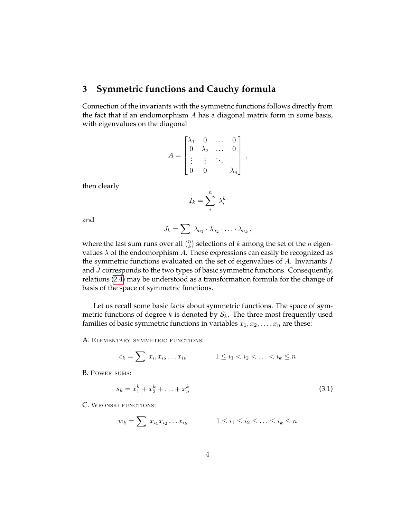## **3 Symmetric functions and Cauchy formula**

Connection of the invariants with the symmetric functions follows directly from the fact that if an endomorphism  $A$  has a diagonal matrix form in some basis, with eigenvalues on the diagonal

$$
A = \begin{bmatrix} \lambda_1 & 0 & \dots & 0 \\ 0 & \lambda_2 & \dots & 0 \\ \vdots & \vdots & \ddots & \\ 0 & 0 & & \lambda_n \end{bmatrix},
$$

then clearly

$$
I_k = \sum_i^n \lambda_i^k
$$

and

$$
J_k = \sum \lambda_{a_1} \cdot \lambda_{a_2} \cdot \ldots \cdot \lambda_{a_k},
$$

where the last sum runs over all  $\binom{n}{k}$  $\binom{n}{k}$  selections of  $k$  among the set of the  $n$  eigenvalues  $\lambda$  of the endomorphism A. These expressions can easily be recognized as the symmetric functions evaluated on the set of eigenvalues of  $A$ . Invariants  $I$ and J corresponds to the two types of basic symmetric functions. Consequently, relations [\(2.4\)](#page-2-0) may be understood as a transformation formula for the change of basis of the space of symmetric functions.

Let us recall some basic facts about symmetric functions. The space of symmetric functions of degree k is denoted by  $S_k$ . The three most frequently used families of basic symmetric functions in variables  $x_1, x_2, \ldots, x_n$  are these:

A. ELEMENTARY SYMMETRIC FUNCTIONS:

$$
c_k = \sum x_{i_1} x_{i_2} \dots x_{i_k} \qquad \qquad 1 \le i_1 < i_2 < \dots < i_k \le n
$$

B. Power sums:

<span id="page-3-0"></span>
$$
s_k = x_1^k + x_2^k + \ldots + x_n^k \tag{3.1}
$$

C. WRONSKI FUNCTIONS:

$$
w_k = \sum x_{i_1} x_{i_2} \dots x_{i_k} \qquad \qquad 1 \leq i_1 \leq i_2 \leq \dots \leq i_k \leq n
$$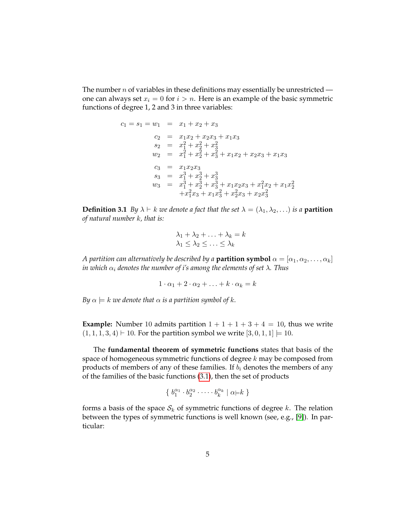The number  $n$  of variables in these definitions may essentially be unrestricted one can always set  $x_i = 0$  for  $i > n$ . Here is an example of the basic symmetric functions of degree 1, 2 and 3 in three variables:

$$
c_1 = s_1 = w_1 = x_1 + x_2 + x_3
$$
  
\n
$$
c_2 = x_1x_2 + x_2x_3 + x_1x_3
$$
  
\n
$$
s_2 = x_1^2 + x_2^2 + x_3^2
$$
  
\n
$$
w_2 = x_1^2 + x_2^2 + x_3^2 + x_1x_2 + x_2x_3 + x_1x_3
$$
  
\n
$$
c_3 = x_1x_2x_3
$$
  
\n
$$
s_3 = x_1^3 + x_2^3 + x_3^3
$$
  
\n
$$
w_3 = x_1^3 + x_2^3 + x_3^3 + x_1x_2x_3 + x_1^2x_2 + x_1x_2^2
$$
  
\n
$$
+x_1^2x_3 + x_1x_3^2 + x_2^2x_3 + x_2x_3^2
$$

**Definition 3.1** *By*  $\lambda \vdash k$  *we denote a fact that the set*  $\lambda = (\lambda_1, \lambda_2, \ldots)$  *is a partition of natural number* k*, that is:*

$$
\lambda_1 + \lambda_2 + \ldots + \lambda_k = k
$$
  

$$
\lambda_1 \le \lambda_2 \le \ldots \le \lambda_k
$$

*A partition can alternatively be described by a partition symbol*  $\alpha = [\alpha_1, \alpha_2, \dots, \alpha_k]$ *in which*  $\alpha_i$  *denotes the number of i's among the elements of set*  $\lambda$ *. Thus* 

 $1 \cdot \alpha_1 + 2 \cdot \alpha_2 + \ldots + k \cdot \alpha_k = k$ 

*By*  $\alpha \models k$  *we denote that*  $\alpha$  *is a partition symbol of*  $k$ *.* 

**Example:** Number 10 admits partition  $1 + 1 + 1 + 3 + 4 = 10$ , thus we write  $(1, 1, 1, 3, 4) \vdash 10$ . For the partition symbol we write  $[3, 0, 1, 1] \models 10$ .

The **fundamental theorem of symmetric functions** states that basis of the space of homogeneous symmetric functions of degree  $k$  may be composed from products of members of any of these families. If  $b_i$  denotes the members of any of the families of the basic functions [\(3.1\)](#page-3-0), then the set of products

$$
\{b_1^{\alpha_1}\cdot b_2^{\alpha_2}\cdot\cdots\cdot b_k^{\alpha_k}\mid \alpha \models k\}
$$

<span id="page-4-0"></span>forms a basis of the space  $S_k$  of symmetric functions of degree k. The relation between the types of symmetric functions is well known (see, e.g., [\[9\]](#page-14-0)). In particular: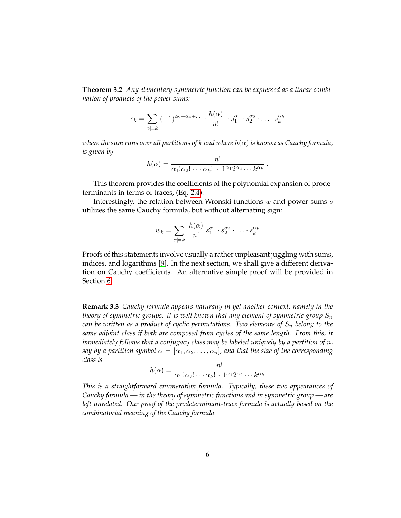**Theorem 3.2** *Any elementary symmetric function can be expressed as a linear combination of products of the power sums:*

$$
c_k = \sum_{\alpha \models k} (-1)^{\alpha_2 + \alpha_4 + \dots} \cdot \frac{h(\alpha)}{n!} \cdot s_1^{\alpha_1} \cdot s_2^{\alpha_2} \cdot \dots \cdot s_k^{\alpha_k}
$$

*where the sum runs over all partitions of k and where*  $h(\alpha)$  *is known as Cauchy formula, is given by*

$$
h(\alpha) = \frac{n!}{\alpha_1! \alpha_2! \cdots \alpha_k! \cdot 1^{\alpha_1} 2^{\alpha_2} \cdots k^{\alpha_k}}
$$

.

This theorem provides the coefficients of the polynomial expansion of prodeterminants in terms of traces, (Eq. [2.4\)](#page-2-0).

Interestingly, the relation between Wronski functions  $w$  and power sums  $s$ utilizes the same Cauchy formula, but without alternating sign:

$$
w_k = \sum_{\alpha \models k} \frac{h(\alpha)}{n!} s_1^{\alpha_1} \cdot s_2^{\alpha_2} \cdot \ldots \cdot s_k^{\alpha_k}
$$

Proofs of this statements involve usually a rather unpleasant juggling with sums, indices, and logarithms [\[9\]](#page-14-0). In the next section, we shall give a different derivation on Cauchy coefficients. An alternative simple proof will be provided in Section [6.](#page-9-0)

<span id="page-5-0"></span>**Remark 3.3** *Cauchy formula appears naturally in yet another context, namely in the theory of symmetric groups. It is well known that any element of symmetric group*  $S_n$ *can be written as a product of cyclic permutations. Two elements of*  $S_n$  *belong to the same adjoint class if both are composed from cycles of the same length. From this, it immediately follows that a conjugacy class may be labeled uniquely by a partition of n, say by a partition symbol*  $\alpha = [\alpha_1, \alpha_2, \dots, \alpha_n]$ , and that the size of the corresponding *class is*

$$
h(\alpha) = \frac{n!}{\alpha_1! \alpha_2! \cdots \alpha_k! \cdot 1^{\alpha_1} 2^{\alpha_2} \cdots k^{\alpha_k}}
$$

*This is a straightforward enumeration formula. Typically, these two appearances of Cauchy formula — in the theory of symmetric functions and in symmetric group — are left unrelated. Our proof of the prodeterminant-trace formula is actually based on the combinatorial meaning of the Cauchy formula.*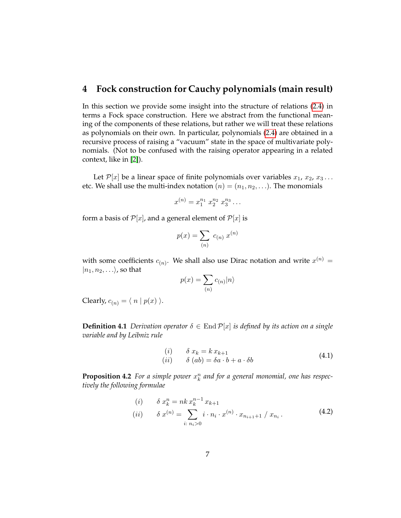## <span id="page-6-0"></span>**4 Fock construction for Cauchy polynomials (main result)**

In this section we provide some insight into the structure of relations [\(2.4\)](#page-2-0) in terms a Fock space construction. Here we abstract from the functional meaning of the components of these relations, but rather we will treat these relations as polynomials on their own. In particular, polynomials [\(2.4\)](#page-2-0) are obtained in a recursive process of raising a "vacuum" state in the space of multivariate polynomials. (Not to be confused with the raising operator appearing in a related context, like in [\[2\]](#page-14-1)).

Let  $\mathcal{P}[x]$  be a linear space of finite polynomials over variables  $x_1, x_2, x_3 \ldots$ etc. We shall use the multi-index notation  $(n) = (n_1, n_2, \ldots)$ . The monomials

$$
x^{(n)} = x_1^{n_1} \ x_2^{n_2} \ x_3^{n_3} \dots
$$

form a basis of  $\mathcal{P}[x]$ , and a general element of  $\mathcal{P}[x]$  is

$$
p(x) = \sum_{(n)} c_{(n)} x^{(n)}
$$

with some coefficients  $c_{(n)}$ . We shall also use Dirac notation and write  $x^{(n)}$  =  $|n_1, n_2, \ldots \rangle$ , so that

$$
p(x) = \sum_{(n)} c_{(n)} |n\rangle
$$

Clearly,  $c_{(n)} = \langle n | p(x) \rangle$ .

**Definition 4.1** *Derivation operator*  $\delta \in$  End  $\mathcal{P}[x]$  *is defined by its action on a single variable and by Leibniz rule*

<span id="page-6-1"></span>
$$
\begin{array}{ll}\n(i) & \delta x_k = k x_{k+1} \\
(ii) & \delta (ab) = \delta a \cdot b + a \cdot \delta b\n\end{array} \tag{4.1}
$$

**Proposition 4.2** For a simple power  $x_k^n$  and for a general monomial, one has respec*tively the following formulae*

$$
(i) \quad \delta x_k^n = n k x_k^{n-1} x_{k+1}
$$
  
\n
$$
(ii) \quad \delta x^{(n)} = \sum_{i: n_i > 0} i \cdot n_i \cdot x^{(n)} \cdot x_{n_{i+1}+1} / x_{n_i}.
$$
\n(4.2)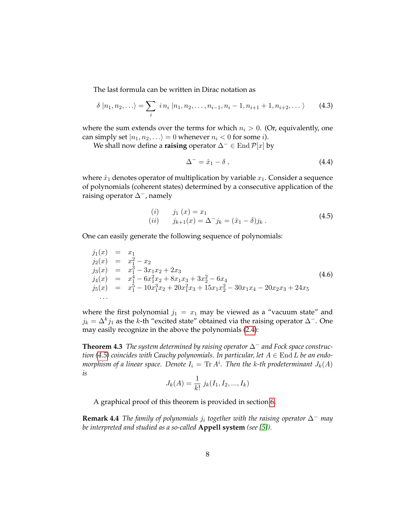The last formula can be written in Dirac notation as

$$
\delta |n_1, n_2, \ldots \rangle = \sum_i i n_i |n_1, n_2, \ldots, n_{i-1}, n_i - 1, n_{i+1} + 1, n_{i+2}, \ldots \rangle \qquad (4.3)
$$

where the sum extends over the terms for which  $n_i > 0$ . (Or, equivalently, one can simply set  $|n_1, n_2, \ldots \rangle = 0$  whenever  $n_i < 0$  for some *i*).

We shall now define a **raising** operator  $\Delta^-$  ∈ End  $\mathcal{P}[x]$  by

<span id="page-7-2"></span>
$$
\Delta^{-} = \hat{x}_1 - \delta \,, \tag{4.4}
$$

where  $\hat{x}_1$  denotes operator of multiplication by variable  $x_1$ . Consider a sequence of polynomials (coherent states) determined by a consecutive application of the raising operator ∆−, namely

<span id="page-7-0"></span>(i) 
$$
j_1(x) = x_1
$$
  
(ii)  $j_{k+1}(x) = \Delta^{-} j_k = (\hat{x}_1 - \delta) j_k$ . (4.5)

One can easily generate the following sequence of polynomials:

<span id="page-7-1"></span>
$$
j_1(x) = x_1\n j_2(x) = x_1^2 - x_2\n j_3(x) = x_1^3 - 3x_1x_2 + 2x_3\n j_4(x) = x_1^4 - 6x_1^2x_2 + 8x_1x_3 + 3x_2^2 - 6x_4\n j_5(x) = x_1^5 - 10x_1^3x_2 + 20x_1^2x_3 + 15x_1x_2^2 - 30x_1x_4 - 20x_2x_3 + 24x_5\n... (4.6)
$$

where the first polynomial  $j_1 = x_1$  may be viewed as a "vacuum state" and  $j_k = \Delta^k j_1$  as the k-th "excited state" obtained via the raising operator  $\Delta^-$ . One may easily recognize in the above the polynomials [\(2.4\)](#page-2-0):

**Theorem 4.3** *The system determined by raising operator* ∆<sup>−</sup> *and Fock space construction* [\(4.5\)](#page-7-0) *coincides with Cauchy polynomials. In particular, let*  $A \in$  End L *be an endo*morphism of a linear space. Denote  $I_i = {\rm Tr}\, A^i.$  Then the k-th prodeterminant  $J_k(A)$ *is*

$$
J_k(A) = \frac{1}{k!} j_k(I_1, I_2, ..., I_k)
$$

A graphical proof of this theorem is provided in section [6.](#page-9-0)

**Remark 4.4** *The family of polynomials* j<sup>i</sup> *together with the raising operator* ∆<sup>−</sup> *may be interpreted and studied as a so-called* **Appell system** *(see [\[5\]](#page-14-2)).*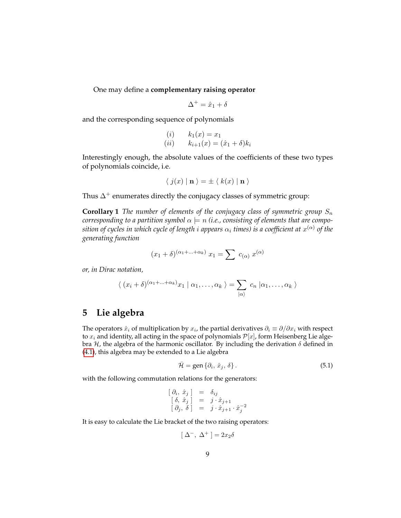One may define a **complementary raising operator**

$$
\Delta^+=\hat{x}_1+\delta
$$

and the corresponding sequence of polynomials

(i) 
$$
k_1(x) = x_1
$$
  
(ii)  $k_{i+1}(x) = (\hat{x}_1 + \delta)k_i$ 

Interestingly enough, the absolute values of the coefficients of these two types of polynomials coincide, i.e.

$$
\langle j(x) | \mathbf{n} \rangle = \pm \langle k(x) | \mathbf{n} \rangle
$$

Thus  $\Delta^+$  enumerates directly the conjugacy classes of symmetric group:

**Corollary 1** *The number of elements of the conjugacy class of symmetric group*  $S_n$ *corresponding to a partition symbol*  $\alpha \models n$  *(i.e., consisting of elements that are compo* $s$ ition of cycles in which cycle of length  $i$  appears  $\alpha_i$  times) is a coefficient at  $x^{(\alpha)}$  of the *generating function*

$$
(x_1 + \delta)^{(\alpha_1 + \dots + \alpha_k)} x_1 = \sum c_{(\alpha)} x^{(\alpha)}
$$

*or, in Dirac notation,*

$$
\langle (x_i + \delta)^{(\alpha_1 + \ldots + \alpha_k)} x_1 | \alpha_1, \ldots, \alpha_k \rangle = \sum_{|\alpha|} c_n | \alpha_1, \ldots, \alpha_k \rangle
$$

## **5 Lie algebra**

The operators  $\hat{x}_i$  of multiplication by  $x_i$ , the partial derivatives  $\partial_i \equiv \partial/\partial x_i$  with respect to  $x_i$  and identity, all acting in the space of polynomials  $\mathcal{P}[x]$ , form Heisenberg Lie algebra  $H$ , the algebra of the harmonic oscillator. By including the derivation  $\delta$  defined in [\(4.1\)](#page-6-1), this algebra may be extended to a Lie algebra

<span id="page-8-0"></span>
$$
\bar{\mathcal{H}} = \text{gen} \left\{ \partial_i, \, \hat{x}_j, \, \delta \right\}. \tag{5.1}
$$

with the following commutation relations for the generators:

$$
\begin{array}{rcl} [\n\partial_i, \hat{x}_j] & = & \delta_{ij} \\ \n\left[\n\delta, \hat{x}_j\n\right] & = & j \cdot \hat{x}_{j+1} \\ \n\left[\n\partial_j, \delta\n\right] & = & j \cdot \hat{x}_{j+1} \cdot \hat{x}_j^{-2} \end{array}
$$

It is easy to calculate the Lie bracket of the two raising operators:

$$
[\ \Delta^-,\ \Delta^+ \ ] = 2 x_2 \delta
$$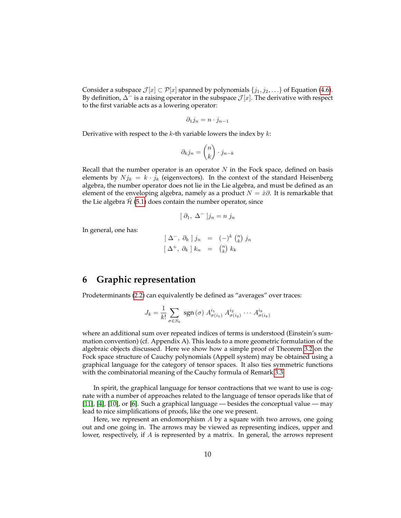Consider a subspace  $\mathcal{J}[x] \subset \mathcal{P}[x]$  spanned by polynomials  $\{j_1, j_2, \ldots\}$  of Equation [\(4.6\)](#page-7-1). By definition,  $\Delta^-$  is a raising operator in the subspace  $\mathcal{J}[x]$ . The derivative with respect to the first variable acts as a lowering operator:

$$
\partial_1 j_n = n \cdot j_{n-1}
$$

Derivative with respect to the k-th variable lowers the index by  $k$ :

$$
\partial_k j_n = \binom{n}{k} \cdot j_{n-k}
$$

Recall that the number operator is an operator  $N$  in the Fock space, defined on basis elements by  $N j_k = k \cdot j_k$  (eigenvectors). In the context of the standard Heisenberg algebra, the number operator does not lie in the Lie algebra, and must be defined as an element of the enveloping algebra, namely as a product  $N = \hat{x}\partial$ . It is remarkable that the Lie algebra  $\hat{H}$  [\(5.1\)](#page-8-0) does contain the number operator, since

$$
[\; \partial_1, \; \Delta^- \;]j_n = n \; j_n
$$

In general, one has:

$$
\begin{array}{rcl}\n\left[\right. \Delta^- , \ \partial_k \left.\right] j_n & = & \left(-\right)^k \left(\begin{matrix} n \\ k \end{matrix}\right) j_n \\
\left[\right. \Delta^+ , \ \partial_k \left.\right] k_n & = & \left(\begin{matrix} n \\ k \end{matrix}\right) k_k\n\end{array}
$$

## <span id="page-9-0"></span>**6 Graphic representation**

Prodeterminants [\(2.2\)](#page-1-1) can equivalently be defined as "averages" over traces:

$$
J_k = \frac{1}{k!} \sum_{\sigma \in S_k} \text{ sgn}(\sigma) A_{\sigma(i_1)}^{i_1} A_{\sigma(i_2)}^{i_2} \cdots A_{\sigma(i_k)}^{i_k}
$$

where an additional sum over repeated indices of terms is understood (Einstein's summation convention) (cf. Appendix A). This leads to a more geometric formulation of the algebraic objects discussed. Here we show how a simple proof of Theorem [3.2](#page-4-0) on the Fock space structure of Cauchy polynomials (Appell system) may be obtained using a graphical language for the category of tensor spaces. It also ties symmetric functions with the combinatorial meaning of the Cauchy formula of Remark [3.3.](#page-5-0)

In spirit, the graphical language for tensor contractions that we want to use is cognate with a number of approaches related to the language of tensor operads like that of [\[11\]](#page-14-3), [\[4\]](#page-14-4), [\[10\]](#page-14-5), or [\[6\]](#page-14-6). Such a graphical language — besides the conceptual value — may lead to nice simplifications of proofs, like the one we present.

Here, we represent an endomorphism  $A$  by a square with two arrows, one going out and one going in. The arrows may be viewed as representing indices, upper and lower, respectively, if A is represented by a matrix. In general, the arrows represent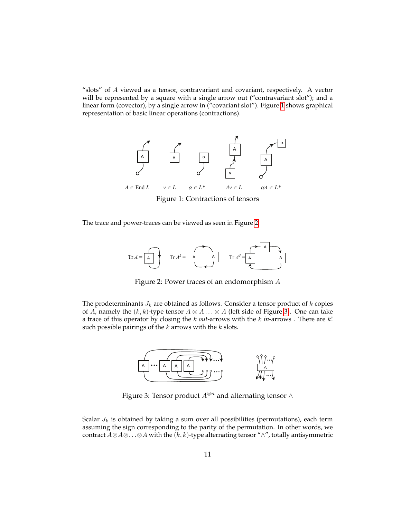"slots" of A viewed as a tensor, contravariant and covariant, respectively. A vector *M* will be represented by a square with a single arrow out ("contravariant slot"); and a linear form (covector), by a single arrow in ("covariant slot"). Figure [1](#page-10-0) shows graphical representation of basic linear operations (contractions).

<span id="page-10-0"></span>

Figure 1: Contractions of tensors A A A A COMMENCIAL OF REAL

<span id="page-10-1"></span>The trace and power-traces can be viewed as seen in Figure [2.](#page-10-1)  $\overline{a}$   $\overline{a}$   $\overline{a}$   $\overline{a}$   $\overline{a}$   $\overline{a}$   $\overline{a}$   $\overline{a}$   $\overline{a}$   $\overline{a}$   $\overline{a}$   $\overline{a}$   $\overline{a}$   $\overline{a}$   $\overline{a}$   $\overline{a}$   $\overline{a}$   $\overline{a}$   $\overline{a}$   $\overline{a}$   $\overline{a}$   $\overline{a}$   $\overline{a}$   $\overline{a}$   $\overline{$ 



Figure 2: Power traces of an endomorphism  $A$ 

 $\overline{A}$  are obtained as follows. Consider a tensor prosuch possible pairings of the  $k$  arrows with the  $k$  slots. The prodeterminants  $J_k$  are obtained as follows. Consider a tensor product of k copies of A, namely the  $(k, k)$ -type tensor  $A \otimes A \dots \otimes A$  (left side of Figure [3\)](#page-10-2). One can take a trace of this operator by closing the k *out*-arrows with the k *in*-arrows . There are k!

<span id="page-10-2"></span>

Figure 3: Tensor product  $A^{\otimes n}$  and alternating tensor ∧

 $\alpha$ <sup>3</sup> ( $\alpha$ )  $\alpha$  and  $\alpha$  and  $\alpha$  are  $\beta$  and  $\beta$  of the  $\alpha$  and  $\alpha$  and  $\alpha$  and  $\alpha$  and  $\alpha$  and  $\alpha$   $\beta$  and  $\alpha$  and  $\alpha$   $\beta$  and  $\alpha$   $\beta$  and  $\alpha$   $\beta$   $\alpha$   $\beta$   $\alpha$   $\beta$   $\alpha$   $\beta$   $\alpha$   $\beta$   $\alpha$   $\beta$   $\$ Scalar  $J_k$  is obtained by taking a sum over all possibilities (permutations), each term assuming the sign corresponding to the parity of the permutation. In other words, we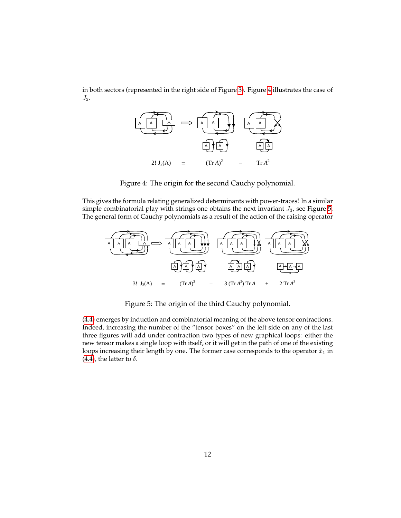<span id="page-11-0"></span>in both sectors (represented in the right side of Figure [3\)](#page-10-2). Figure [4](#page-11-0) illustrates the case of *A* End *L v L L\* Av L A L\**  $J_2$ .



Figure 4: The origin for the second Cauchy polynomial.

This gives the formula relating generalized determinants with power-traces! In a similar Simple combinatorial play with strings one obtains the field invariant *33*, see Figure 5.<br>The general form of Cauchy polynomials as a result of the action of the raising operator simple combinatorial play with strings one obtains the next invariant  $J_3$ , see Figure [5.](#page-11-1)<br>The agreeal faunt of Caucharan lungarials as a may leaf the action of the minima constants

<span id="page-11-1"></span>

**…** Figure 5: The origin of the third Cauchy polynomial. **…**

[\(4.4\)](#page-7-2) emerges by induction and combinatorial meaning of the above tensor contractions. Indeed, increasing the number of the "tensor boxes" on the left side on any of the last three figures will add under contraction two types of new graphical loops: either the new tensor makes a single loop with itself, or it will get in the path of one of the existing loops increasing their length by one. The former case corresponds to the operator  $\hat{x}_1$  in [\(4.4\)](#page-7-2), the latter to  $\delta$ .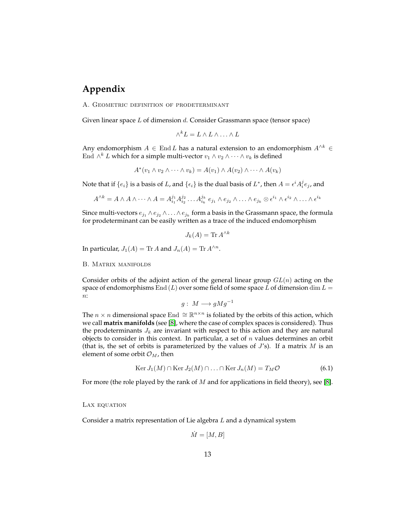# **Appendix**

A. Geometric definition of prodeterminant

Given linear space L of dimension d. Consider Grassmann space (tensor space)

$$
\wedge^k L = L \wedge L \wedge \ldots \wedge L
$$

Any endomorphism  $A \in \text{End } L$  has a natural extension to an endomorphism  $A^{\wedge k} \in$ End  $\wedge^k L$  which for a simple multi-vector  $v_1 \wedge v_2 \wedge \cdots \wedge v_k$  is defined

$$
A^*(v_1 \wedge v_2 \wedge \cdots \wedge v_k) = A(v_1) \wedge A(v_2) \wedge \cdots \wedge A(v_k)
$$

Note that if  $\{e_i\}$  is a basis of  $L$ , and  $\{\epsilon_i\}$  is the dual basis of  $L^*$ , then  $A=\epsilon^i A_i^j e_j$ , and

$$
A^{\wedge k} = A \wedge A \wedge \cdots \wedge A = A_{i_1}^{j_1} A_{i_2}^{j_2} \ldots A_{i_k}^{j_k} e_{j_1} \wedge e_{j_2} \wedge \ldots \wedge e_{j_k} \otimes \epsilon^{i_1} \wedge \epsilon^{i_2} \wedge \ldots \wedge \epsilon^{i_k}
$$

Since multi-vectors  $e_{j_1}\wedge e_{j_2}\wedge \ldots \wedge e_{j_k}$  form a basis in the Grassmann space, the formula for prodeterminant can be easily written as a trace of the induced endomorphism

$$
J_k(A) = \text{Tr } A^{\wedge k}
$$

In particular,  $J_1(A)$  = Tr A and  $J_n(A)$  = Tr  $A^{\wedge n}$ .

B. Matrix manifolds

Consider orbits of the adjoint action of the general linear group  $GL(n)$  acting on the space of endomorphisms End  $(L)$  over some field of some space L of dimension dim  $L =$  $n$ :

$$
g:\; M \longrightarrow gMg^{-1}
$$

The  $n \times n$  dimensional space End  $\cong \mathbb{R}^{n \times n}$  is foliated by the orbits of this action, which we call **matrix manifolds** (see [\[8\]](#page-14-7), where the case of complex spaces is considered). Thus the prodeterminants  $J_k$  are invariant with respect to this action and they are natural objects to consider in this context. In particular, a set of  $n$  values determines an orbit (that is, the set of orbits is parameterized by the values of  $J$ 's). If a matrix  $M$  is an element of some orbit  $\mathcal{O}_M$ , then

$$
\operatorname{Ker} J_1(M) \cap \operatorname{Ker} J_2(M) \cap \ldots \cap \operatorname{Ker} J_n(M) = T_M \mathcal{O}
$$
\n(6.1)

For more (the role played by the rank of  $M$  and for applications in field theory), see [\[8\]](#page-14-7).

#### LAX EQUATION

Consider a matrix representation of Lie algebra L and a dynamical system

$$
\dot{M} = [M, B]
$$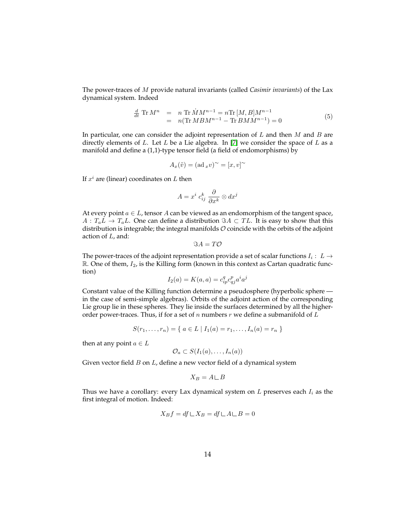The power-traces of M provide natural invariants (called *Casimir invariants*) of the Lax dynamical system. Indeed

$$
\frac{d}{dt} \text{Tr } M^n = n \text{Tr } \dot{M} M^{n-1} = n \text{Tr } [M, B] M^{n-1} \n= n (\text{Tr } M B M^{n-1} - \text{Tr } B M M^{n-1}) = 0
$$
\n(5)

In particular, one can consider the adjoint representation of  $L$  and then  $M$  and  $B$  are directly elements of L. Let L be a Lie algebra. In [\[7\]](#page-14-8) we consider the space of L as a manifold and define a (1,1)-type tensor field (a field of endomorphisms) by

$$
A_x(\tilde{v}) = (\mathrm{ad\,}_x v)^\sim = [x, v]^\sim
$$

If  $x^i$  are (linear) coordinates on L then

$$
A = x^i \ c^k_{ij} \ \frac{\partial}{\partial x^k} \otimes dx^j
$$

At every point  $a \in L$ , tensor A can be viewed as an endomorphism of the tangent space,  $A: T_aL \to T_aL$ . One can define a distribution  $\Im A \subset TL$ . It is easy to show that this distribution is integrable; the integral manifolds  $O$  coincide with the orbits of the adjoint action of L, and:

$$
\Im A = T\mathcal{O}
$$

The power-traces of the adjoint representation provide a set of scalar functions  $I_i: L \rightarrow$  $\mathbb{R}$ . One of them,  $I_2$ , is the Killing form (known in this context as Cartan quadratic function)

$$
I_2(a) = K(a, a) = c_{ip}^q c_{qj}^p a^i a^j
$$

Constant value of the Killing function determine a pseudosphere (hyperbolic sphere in the case of semi-simple algebras). Orbits of the adjoint action of the corresponding Lie group lie in these spheres. They lie inside the surfaces determined by all the higherorder power-traces. Thus, if for a set of n numbers  $r$  we define a submanifold of  $L$ 

$$
S(r_1, \ldots, r_n) = \{ a \in L \mid I_1(a) = r_1, \ldots, I_n(a) = r_n \}
$$

then at any point  $a \in L$ 

$$
\mathcal{O}_a \subset S(I_1(a), \ldots, I_n(a))
$$

Given vector field  $B$  on  $L$ , define a new vector field of a dynamical system

$$
X_B=A\!\sqcup B
$$

Thus we have a corollary: every Lax dynamical system on  $L$  preserves each  $I_i$  as the first integral of motion. Indeed:

$$
X_B f = df \sqcup X_B = df \sqcup A \sqcup B = 0
$$